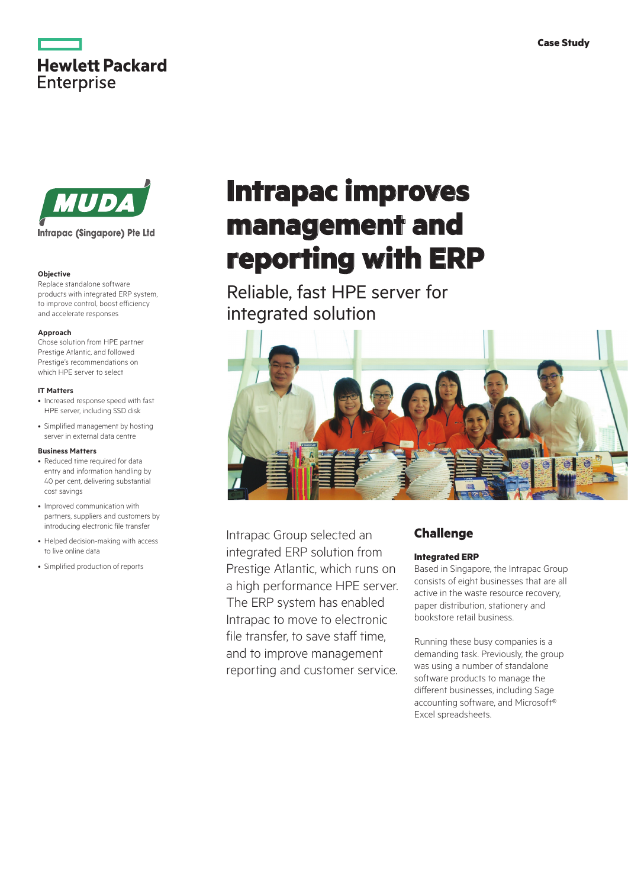



#### **Objective**

Replace standalone software products with integrated ERP system, to improve control, boost efficiency and accelerate responses

#### **Approach**

Chose solution from HPE partner Prestige Atlantic, and followed Prestige's recommendations on which HPE server to select

#### **IT Matters**

- Increased response speed with fast HPE server, including SSD disk
- Simplified management by hosting server in external data centre

#### **Business Matters**

- Reduced time required for data entry and information handling by 40 per cent, delivering substantial cost savings
- Improved communication with partners, suppliers and customers by introducing electronic file transfer
- Helped decision-making with access to live online data
- • Simplified production of reports

# **Intrapac improves management and reporting with ERP**

Reliable, fast HPE server for integrated solution



Intrapac Group selected an integrated ERP solution from Prestige Atlantic, which runs on a high performance HPE server. The ERP system has enabled Intrapac to move to electronic file transfer, to save staff time, and to improve management reporting and customer service.

# **Challenge**

#### **Integrated ERP**

Based in Singapore, the Intrapac Group consists of eight businesses that are all active in the waste resource recovery, paper distribution, stationery and bookstore retail business.

Running these busy companies is a demanding task. Previously, the group was using a number of standalone software products to manage the different businesses, including Sage accounting software, and Microsoft® Excel spreadsheets.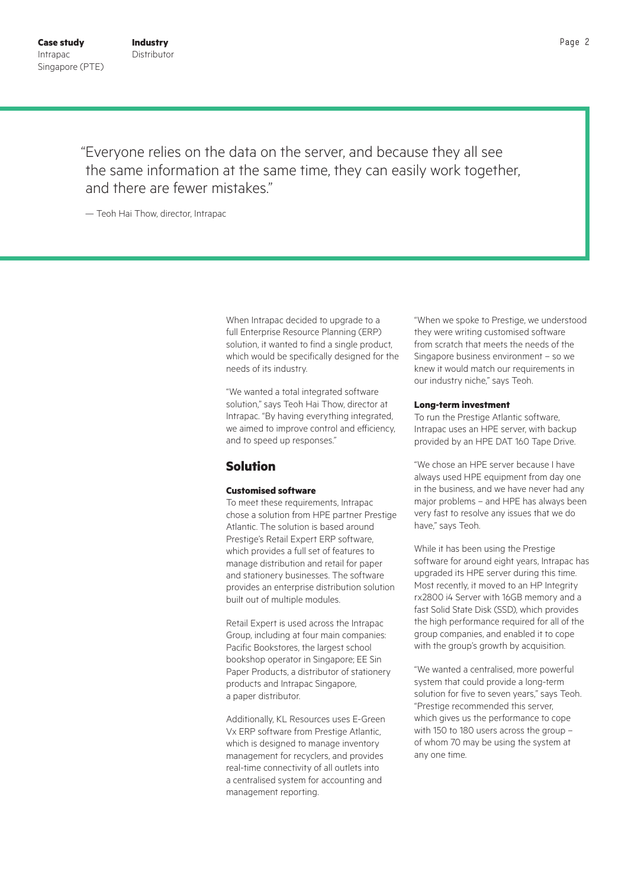"Everyone relies on the data on the server, and because they all see the same information at the same time, they can easily work together, and there are fewer mistakes."

— Teoh Hai Thow, director, Intrapac

When Intrapac decided to upgrade to a full Enterprise Resource Planning (ERP) solution, it wanted to find a single product, which would be specifically designed for the needs of its industry.

"We wanted a total integrated software solution," says Teoh Hai Thow, director at Intrapac. "By having everything integrated, we aimed to improve control and efficiency, and to speed up responses."

# **Solution**

# **Customised software**

To meet these requirements, Intrapac chose a solution from HPE partner Prestige Atlantic. The solution is based around Prestige's Retail Expert ERP software, which provides a full set of features to manage distribution and retail for paper and stationery businesses. The software provides an enterprise distribution solution built out of multiple modules.

Retail Expert is used across the Intrapac Group, including at four main companies: Pacific Bookstores, the largest school bookshop operator in Singapore; EE Sin Paper Products, a distributor of stationery products and Intrapac Singapore, a paper distributor.

Additionally, KL Resources uses E-Green Vx ERP software from Prestige Atlantic, which is designed to manage inventory management for recyclers, and provides real-time connectivity of all outlets into a centralised system for accounting and management reporting.

"When we spoke to Prestige, we understood they were writing customised software from scratch that meets the needs of the Singapore business environment – so we knew it would match our requirements in our industry niche," says Teoh.

#### **Long-term investment**

To run the Prestige Atlantic software, Intrapac uses an HPE server, with backup provided by an HPE DAT 160 Tape Drive.

"We chose an HPE server because I have always used HPE equipment from day one in the business, and we have never had any major problems – and HPE has always been very fast to resolve any issues that we do have," says Teoh.

While it has been using the Prestige software for around eight years, Intrapac has upgraded its HPE server during this time. Most recently, it moved to an HP Integrity rx2800 i4 Server with 16GB memory and a fast Solid State Disk (SSD), which provides the high performance required for all of the group companies, and enabled it to cope with the group's growth by acquisition.

"We wanted a centralised, more powerful system that could provide a long-term solution for five to seven years," says Teoh. "Prestige recommended this server, which gives us the performance to cope with 150 to 180 users across the group – of whom 70 may be using the system at any one time.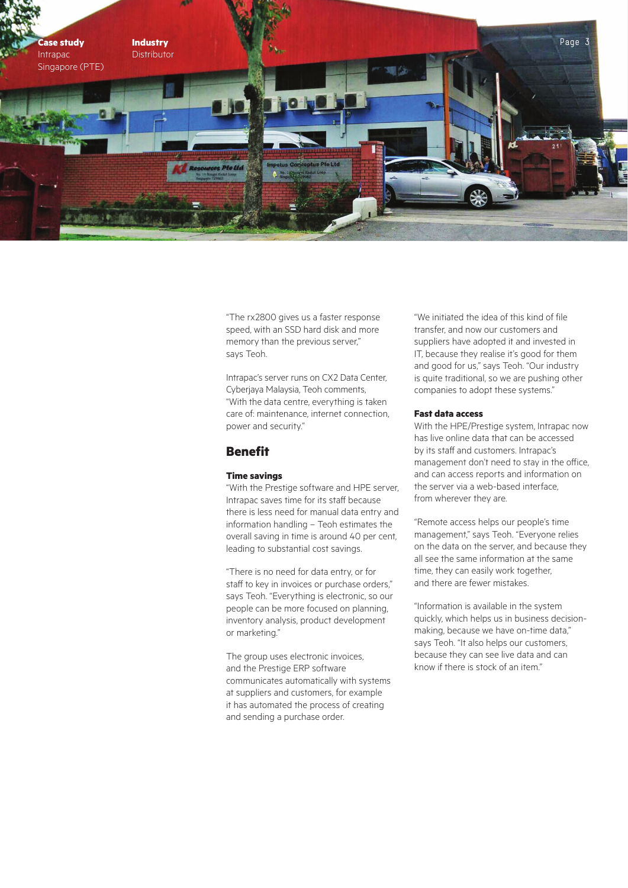

"The rx2800 gives us a faster response speed, with an SSD hard disk and more memory than the previous server," says Teoh.

Intrapac's server runs on CX2 Data Center, Cyberjaya Malaysia, Teoh comments, "With the data centre, everything is taken care of: maintenance, internet connection, power and security."

# **Benefit**

# **Time savings**

"With the Prestige software and HPE server, Intrapac saves time for its staff because there is less need for manual data entry and information handling – Teoh estimates the overall saving in time is around 40 per cent, leading to substantial cost savings.

"There is no need for data entry, or for staff to key in invoices or purchase orders," says Teoh. "Everything is electronic, so our people can be more focused on planning, inventory analysis, product development or marketing."

The group uses electronic invoices, and the Prestige ERP software communicates automatically with systems at suppliers and customers, for example it has automated the process of creating and sending a purchase order.

"We initiated the idea of this kind of file transfer, and now our customers and suppliers have adopted it and invested in IT, because they realise it's good for them and good for us," says Teoh. "Our industry is quite traditional, so we are pushing other companies to adopt these systems."

## **Fast data access**

With the HPE/Prestige system, Intrapac now has live online data that can be accessed by its staff and customers. Intrapac's management don't need to stay in the office, and can access reports and information on the server via a web-based interface, from wherever they are.

"Remote access helps our people's time management," says Teoh. "Everyone relies on the data on the server, and because they all see the same information at the same time, they can easily work together, and there are fewer mistakes.

"Information is available in the system quickly, which helps us in business decisionmaking, because we have on-time data," says Teoh. "It also helps our customers, because they can see live data and can know if there is stock of an item."